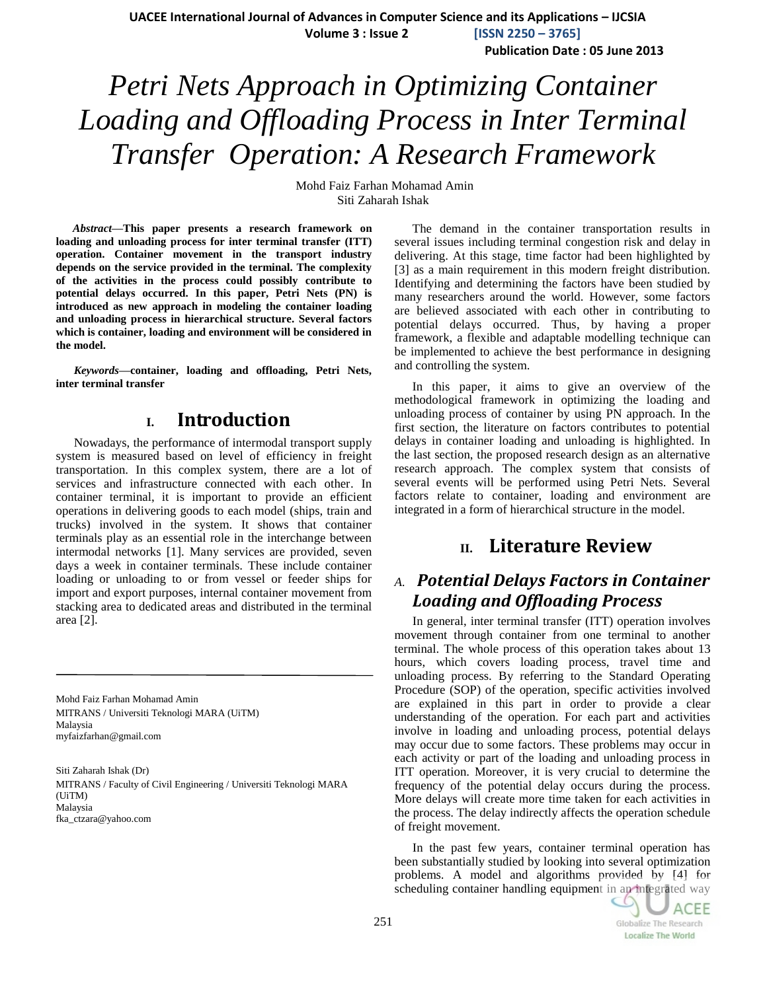**Publication Date : 05 June 2013**

# *Petri Nets Approach in Optimizing Container Loading and Offloading Process in Inter Terminal Transfer Operation: A Research Framework*

Mohd Faiz Farhan Mohamad Amin Siti Zaharah Ishak

*Abstract***—This paper presents a research framework on loading and unloading process for inter terminal transfer (ITT) operation. Container movement in the transport industry depends on the service provided in the terminal. The complexity of the activities in the process could possibly contribute to potential delays occurred. In this paper, Petri Nets (PN) is introduced as new approach in modeling the container loading and unloading process in hierarchical structure. Several factors which is container, loading and environment will be considered in the model.**

*Keywords—***container, loading and offloading, Petri Nets, inter terminal transfer**

## **I. Introduction**

Nowadays, the performance of intermodal transport supply system is measured based on level of efficiency in freight transportation. In this complex system, there are a lot of services and infrastructure connected with each other. In container terminal, it is important to provide an efficient operations in delivering goods to each model (ships, train and trucks) involved in the system. It shows that container terminals play as an essential role in the interchange between intermodal networks [\[1\]](#page-2-0). Many services are provided, seven days a week in container terminals. These include container loading or unloading to or from vessel or feeder ships for import and export purposes, internal container movement from stacking area to dedicated areas and distributed in the terminal area [\[2\]](#page-2-1).

Mohd Faiz Farhan Mohamad Amin MITRANS / Universiti Teknologi MARA (UiTM) Malaysia myfaizfarhan@gmail.com

Siti Zaharah Ishak (Dr) MITRANS / Faculty of Civil Engineering / Universiti Teknologi MARA (UiTM) Malaysia fka\_ctzara@yahoo.com

The demand in the container transportation results in several issues including terminal congestion risk and delay in delivering. At this stage, time factor had been highlighted by [\[3\]](#page-2-2) as a main requirement in this modern freight distribution. Identifying and determining the factors have been studied by many researchers around the world. However, some factors are believed associated with each other in contributing to potential delays occurred. Thus, by having a proper framework, a flexible and adaptable modelling technique can be implemented to achieve the best performance in designing and controlling the system.

In this paper, it aims to give an overview of the methodological framework in optimizing the loading and unloading process of container by using PN approach. In the first section, the literature on factors contributes to potential delays in container loading and unloading is highlighted. In the last section, the proposed research design as an alternative research approach. The complex system that consists of several events will be performed using Petri Nets. Several factors relate to container, loading and environment are integrated in a form of hierarchical structure in the model.

# **II. Literature Review**

# *A. Potential Delays Factors in Container Loading and Offloading Process*

In general, inter terminal transfer (ITT) operation involves movement through container from one terminal to another terminal. The whole process of this operation takes about 13 hours, which covers loading process, travel time and unloading process. By referring to the Standard Operating Procedure (SOP) of the operation, specific activities involved are explained in this part in order to provide a clear understanding of the operation. For each part and activities involve in loading and unloading process, potential delays may occur due to some factors. These problems may occur in each activity or part of the loading and unloading process in ITT operation. Moreover, it is very crucial to determine the frequency of the potential delay occurs during the process. More delays will create more time taken for each activities in the process. The delay indirectly affects the operation schedule of freight movement.

In the past few years, container terminal operation has been substantially studied by looking into several optimization problems. A model and algorithms provided by [\[4\]](#page-2-3) for scheduling container handling equipment in an integrated way

**ACEE Globalize The Research Localize The World**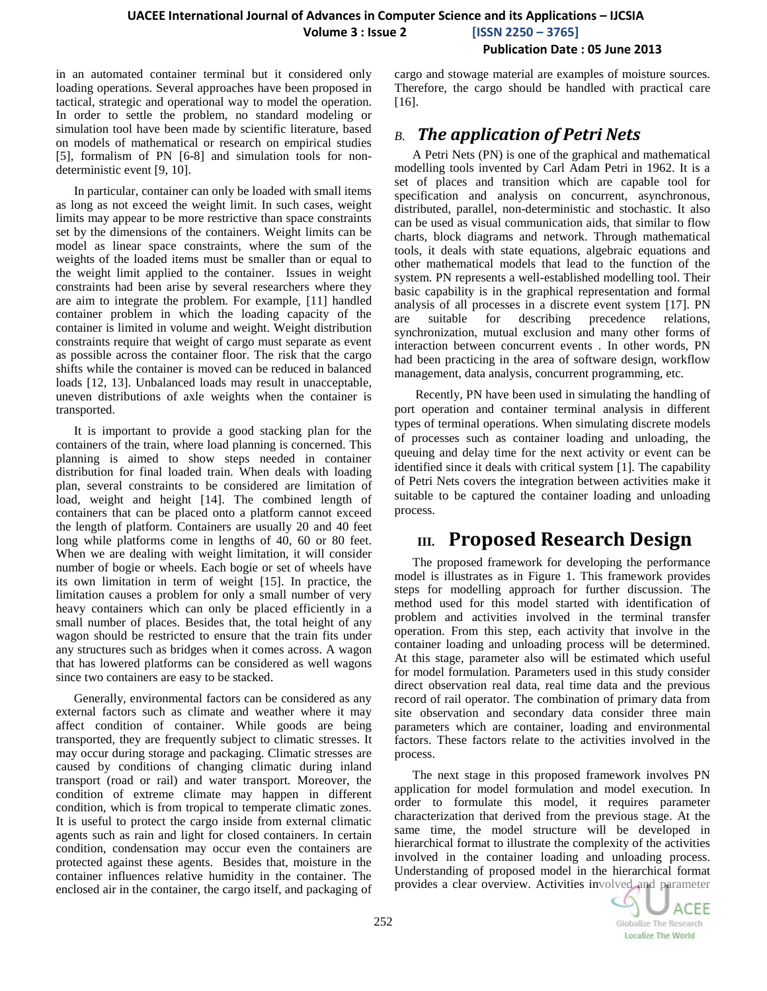#### **Publication Date : 05 June 2013**

in an automated container terminal but it considered only loading operations. Several approaches have been proposed in tactical, strategic and operational way to model the operation. In order to settle the problem, no standard modeling or simulation tool have been made by scientific literature, based on models of mathematical or research on empirical studies [\[5\]](#page-2-4), formalism of PN [\[6-8\]](#page-2-5) and simulation tools for nondeterministic event [\[9,](#page-2-6) [10\]](#page-2-7).

In particular, container can only be loaded with small items as long as not exceed the weight limit. In such cases, weight limits may appear to be more restrictive than space constraints set by the dimensions of the containers. Weight limits can be model as linear space constraints, where the sum of the weights of the loaded items must be smaller than or equal to the weight limit applied to the container. Issues in weight constraints had been arise by several researchers where they are aim to integrate the problem. For example, [\[11\]](#page-2-8) handled container problem in which the loading capacity of the container is limited in volume and weight. Weight distribution constraints require that weight of cargo must separate as event as possible across the container floor. The risk that the cargo shifts while the container is moved can be reduced in balanced loads [\[12,](#page-2-9) [13\]](#page-2-10). Unbalanced loads may result in unacceptable, uneven distributions of axle weights when the container is transported.

It is important to provide a good stacking plan for the containers of the train, where load planning is concerned. This planning is aimed to show steps needed in container distribution for final loaded train. When deals with loading plan, several constraints to be considered are limitation of load, weight and height [\[14\]](#page-2-11). The combined length of containers that can be placed onto a platform cannot exceed the length of platform. Containers are usually 20 and 40 feet long while platforms come in lengths of 40, 60 or 80 feet. When we are dealing with weight limitation, it will consider number of bogie or wheels. Each bogie or set of wheels have its own limitation in term of weight [\[15\]](#page-2-12). In practice, the limitation causes a problem for only a small number of very heavy containers which can only be placed efficiently in a small number of places. Besides that, the total height of any wagon should be restricted to ensure that the train fits under any structures such as bridges when it comes across. A wagon that has lowered platforms can be considered as well wagons since two containers are easy to be stacked.

Generally, environmental factors can be considered as any external factors such as climate and weather where it may affect condition of container. While goods are being transported, they are frequently subject to climatic stresses. It may occur during storage and packaging. Climatic stresses are caused by conditions of changing climatic during inland transport (road or rail) and water transport. Moreover, the condition of extreme climate may happen in different condition, which is from tropical to temperate climatic zones. It is useful to protect the cargo inside from external climatic agents such as rain and light for closed containers. In certain condition, condensation may occur even the containers are protected against these agents. Besides that, moisture in the container influences relative humidity in the container. The enclosed air in the container, the cargo itself, and packaging of

cargo and stowage material are examples of moisture sources. Therefore, the cargo should be handled with practical care [\[16\]](#page-2-13).

## *B. The application of Petri Nets*

A Petri Nets (PN) is one of the graphical and mathematical modelling tools invented by Carl Adam Petri in 1962. It is a set of places and transition which are capable tool for specification and analysis on concurrent, asynchronous, distributed, parallel, non-deterministic and stochastic. It also can be used as visual communication aids, that similar to flow charts, block diagrams and network. Through mathematical tools, it deals with state equations, algebraic equations and other mathematical models that lead to the function of the system. PN represents a well-established modelling tool. Their basic capability is in the graphical representation and formal analysis of all processes in a discrete event system [\[17\]](#page-2-14). PN are suitable for describing precedence relations, synchronization, mutual exclusion and many other forms of interaction between concurrent events . In other words, PN had been practicing in the area of software design, workflow management, data analysis, concurrent programming, etc.

Recently, PN have been used in simulating the handling of port operation and container terminal analysis in different types of terminal operations. When simulating discrete models of processes such as container loading and unloading, the queuing and delay time for the next activity or event can be identified since it deals with critical system [\[1\]](#page-2-0). The capability of Petri Nets covers the integration between activities make it suitable to be captured the container loading and unloading process.

# **III. Proposed Research Design**

The proposed framework for developing the performance model is illustrates as in Figure 1. This framework provides steps for modelling approach for further discussion. The method used for this model started with identification of problem and activities involved in the terminal transfer operation. From this step, each activity that involve in the container loading and unloading process will be determined. At this stage, parameter also will be estimated which useful for model formulation. Parameters used in this study consider direct observation real data, real time data and the previous record of rail operator. The combination of primary data from site observation and secondary data consider three main parameters which are container, loading and environmental factors. These factors relate to the activities involved in the process.

The next stage in this proposed framework involves PN application for model formulation and model execution. In order to formulate this model, it requires parameter characterization that derived from the previous stage. At the same time, the model structure will be developed in hierarchical format to illustrate the complexity of the activities involved in the container loading and unloading process. Understanding of proposed model in the hierarchical format provides a clear overview. Activities involved and parameter

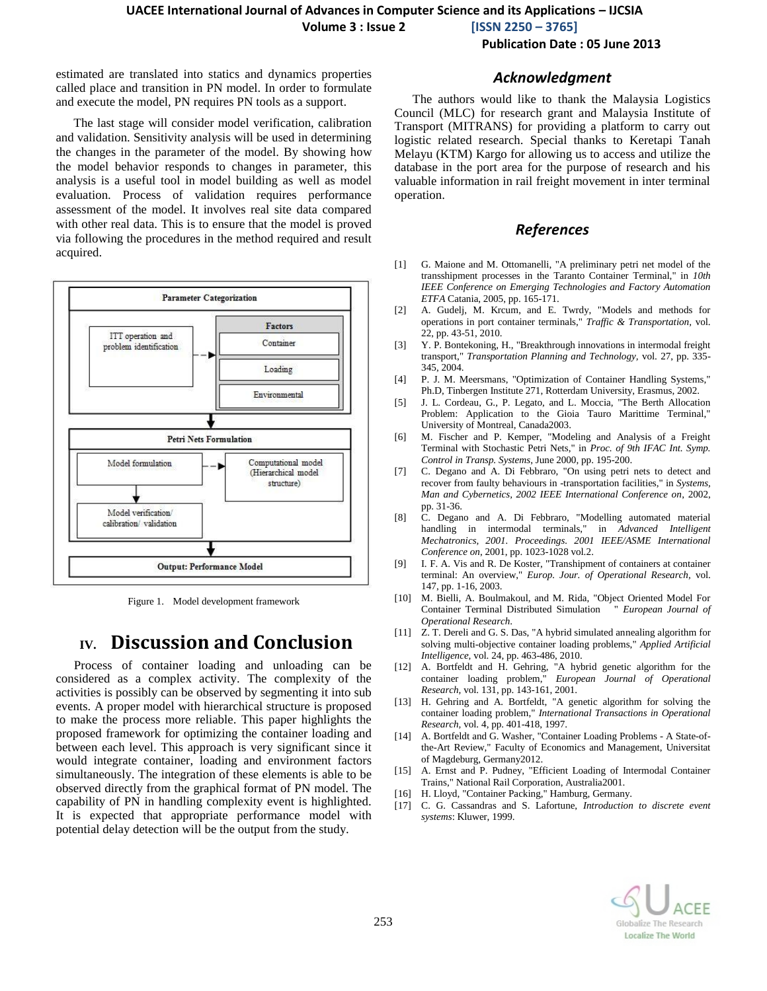**Volume 3 : Issue 2 [ISSN 2250 – 3765]**

**Publication Date : 05 June 2013**

estimated are translated into statics and dynamics properties called place and transition in PN model. In order to formulate and execute the model, PN requires PN tools as a support.

The last stage will consider model verification, calibration and validation. Sensitivity analysis will be used in determining the changes in the parameter of the model. By showing how the model behavior responds to changes in parameter, this analysis is a useful tool in model building as well as model evaluation. Process of validation requires performance assessment of the model. It involves real site data compared with other real data. This is to ensure that the model is proved via following the procedures in the method required and result acquired.



Figure 1. Model development framework

# **IV. Discussion and Conclusion**

Process of container loading and unloading can be considered as a complex activity. The complexity of the activities is possibly can be observed by segmenting it into sub events. A proper model with hierarchical structure is proposed to make the process more reliable. This paper highlights the proposed framework for optimizing the container loading and between each level. This approach is very significant since it would integrate container, loading and environment factors simultaneously. The integration of these elements is able to be observed directly from the graphical format of PN model. The capability of PN in handling complexity event is highlighted. It is expected that appropriate performance model with potential delay detection will be the output from the study.

#### *Acknowledgment*

The authors would like to thank the Malaysia Logistics Council (MLC) for research grant and Malaysia Institute of Transport (MITRANS) for providing a platform to carry out logistic related research. Special thanks to Keretapi Tanah Melayu (KTM) Kargo for allowing us to access and utilize the database in the port area for the purpose of research and his valuable information in rail freight movement in inter terminal operation.

### *References*

- <span id="page-2-0"></span>[1] G. Maione and M. Ottomanelli, "A preliminary petri net model of the transshipment processes in the Taranto Container Terminal," in *10th IEEE Conference on Emerging Technologies and Factory Automation ETFA* Catania, 2005, pp. 165-171.
- <span id="page-2-1"></span>[2] A. Gudelj, M. Krcum, and E. Twrdy, "Models and methods for operations in port container terminals," *Traffic & Transportation,* vol. 22, pp. 43-51, 2010.
- <span id="page-2-2"></span>[3] Y. P. Bontekoning, H., "Breakthrough innovations in intermodal freight transport," *Transportation Planning and Technology,* vol. 27, pp. 335- 345, 2004.
- <span id="page-2-3"></span>[4] P. J. M. Meersmans, "Optimization of Container Handling Systems," Ph.D, Tinbergen Institute 271, Rotterdam University, Erasmus, 2002.
- <span id="page-2-4"></span>[5] J. L. Cordeau, G., P. Legato, and L. Moccia, "The Berth Allocation Problem: Application to the Gioia Tauro Marittime Terminal," University of Montreal, Canada2003.
- <span id="page-2-5"></span>[6] M. Fischer and P. Kemper, "Modeling and Analysis of a Freight Terminal with Stochastic Petri Nets," in *Proc. of 9th IFAC Int. Symp. Control in Transp. Systems*, June 2000, pp. 195-200.
- [7] C. Degano and A. Di Febbraro, "On using petri nets to detect and recover from faulty behaviours in -transportation facilities," in *Systems, Man and Cybernetics, 2002 IEEE International Conference on*, 2002, pp. 31-36.
- [8] C. Degano and A. Di Febbraro, "Modelling automated material handling in intermodal terminals," in *Advanced Intelligent Mechatronics, 2001. Proceedings. 2001 IEEE/ASME International Conference on*, 2001, pp. 1023-1028 vol.2.
- <span id="page-2-6"></span>[9] I. F. A. Vis and R. De Koster, "Transhipment of containers at container terminal: An overview," *Europ. Jour. of Operational Research,* vol. 147, pp. 1-16, 2003.
- <span id="page-2-7"></span>[10] M. Bielli, A. Boulmakoul, and M. Rida, "Object Oriented Model For Container Terminal Distributed Simulation " *European Journal of Operational Research*.
- <span id="page-2-8"></span>[11] Z. T. Dereli and G. S. Das, "A hybrid simulated annealing algorithm for solving multi-objective container loading problems," *Applied Artificial Intelligence,* vol. 24, pp. 463-486, 2010.
- <span id="page-2-9"></span>[12] A. Bortfeldt and H. Gehring, "A hybrid genetic algorithm for the container loading problem," *European Journal of Operational Research,* vol. 131, pp. 143-161, 2001.
- <span id="page-2-10"></span>[13] H. Gehring and A. Bortfeldt, "A genetic algorithm for solving the container loading problem," *International Transactions in Operational Research,* vol. 4, pp. 401-418, 1997.
- <span id="page-2-11"></span>[14] A. Bortfeldt and G. Washer, "Container Loading Problems - A State-ofthe-Art Review," Faculty of Economics and Management, Universitat of Magdeburg, Germany2012.
- <span id="page-2-12"></span>[15] A. Ernst and P. Pudney, "Efficient Loading of Intermodal Container Trains," National Rail Corporation, Australia2001.
- <span id="page-2-13"></span>[16] H. Lloyd, "Container Packing," Hamburg, Germany.
- <span id="page-2-14"></span>[17] C. G. Cassandras and S. Lafortune, *Introduction to discrete event systems*: Kluwer, 1999.